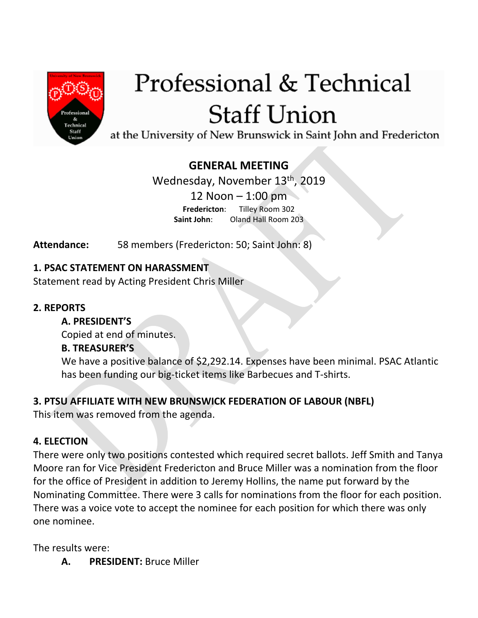

# Professional & Technical **Staff Union**

at the University of New Brunswick in Saint John and Fredericton

## **GENERAL MEETING**

Wednesday, November 13th, 2019 12 Noon – 1:00 pm **Fredericton**: Tilley Room 302 **Saint John**: Oland Hall Room 203

**Attendance:** 58 members (Fredericton: 50; Saint John: 8)

### **1. PSAC STATEMENT ON HARASSMENT**

Statement read by Acting President Chris Miller

#### **2. REPORTS**

#### **A. PRESIDENT'S**

Copied at end of minutes.

#### **B. TREASURER'S**

We have a positive balance of \$2,292.14. Expenses have been minimal. PSAC Atlantic has been funding our big-ticket items like Barbecues and T-shirts.

### **3. PTSU AFFILIATE WITH NEW BRUNSWICK FEDERATION OF LABOUR (NBFL)**

This item was removed from the agenda.

### **4. ELECTION**

There were only two positions contested which required secret ballots. Jeff Smith and Tanya Moore ran for Vice President Fredericton and Bruce Miller was a nomination from the floor for the office of President in addition to Jeremy Hollins, the name put forward by the Nominating Committee. There were 3 calls for nominations from the floor for each position. There was a voice vote to accept the nominee for each position for which there was only one nominee.

The results were:

**A. PRESIDENT:** Bruce Miller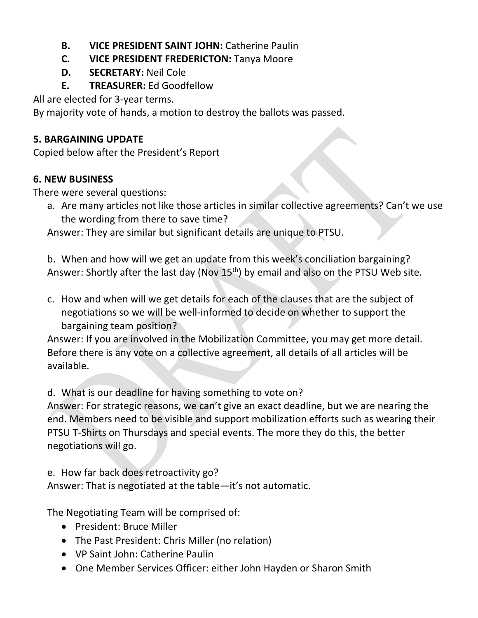- **B. VICE PRESIDENT SAINT JOHN:** Catherine Paulin
- **C. VICE PRESIDENT FREDERICTON:** Tanya Moore
- **D. SECRETARY:** Neil Cole
- **E. TREASURER:** Ed Goodfellow

All are elected for 3-year terms.

By majority vote of hands, a motion to destroy the ballots was passed.

### **5. BARGAINING UPDATE**

Copied below after the President's Report

## **6. NEW BUSINESS**

There were several questions:

a. Are many articles not like those articles in similar collective agreements? Can't we use the wording from there to save time?

Answer: They are similar but significant details are unique to PTSU.

b. When and how will we get an update from this week's conciliation bargaining? Answer: Shortly after the last day (Nov 15<sup>th</sup>) by email and also on the PTSU Web site.

c. How and when will we get details for each of the clauses that are the subject of negotiations so we will be well-informed to decide on whether to support the bargaining team position?

Answer: If you are involved in the Mobilization Committee, you may get more detail. Before there is any vote on a collective agreement, all details of all articles will be available.

d. What is our deadline for having something to vote on?

Answer: For strategic reasons, we can't give an exact deadline, but we are nearing the end. Members need to be visible and support mobilization efforts such as wearing their PTSU T-Shirts on Thursdays and special events. The more they do this, the better negotiations will go.

e. How far back does retroactivity go?

Answer: That is negotiated at the table—it's not automatic.

The Negotiating Team will be comprised of:

- President: Bruce Miller
- The Past President: Chris Miller (no relation)
- VP Saint John: Catherine Paulin
- One Member Services Officer: either John Hayden or Sharon Smith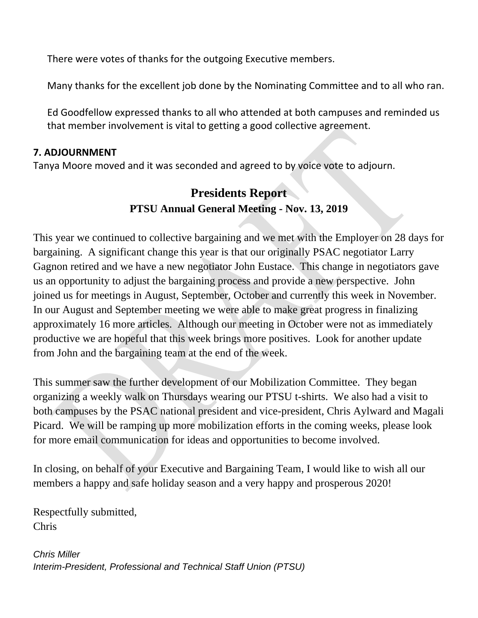There were votes of thanks for the outgoing Executive members.

Many thanks for the excellent job done by the Nominating Committee and to all who ran.

Ed Goodfellow expressed thanks to all who attended at both campuses and reminded us that member involvement is vital to getting a good collective agreement.

#### **7. ADJOURNMENT**

Tanya Moore moved and it was seconded and agreed to by voice vote to adjourn.

# **Presidents Report PTSU Annual General Meeting - Nov. 13, 2019**

This year we continued to collective bargaining and we met with the Employer on 28 days for bargaining. A significant change this year is that our originally PSAC negotiator Larry Gagnon retired and we have a new negotiator John Eustace. This change in negotiators gave us an opportunity to adjust the bargaining process and provide a new perspective. John joined us for meetings in August, September, October and currently this week in November. In our August and September meeting we were able to make great progress in finalizing approximately 16 more articles. Although our meeting in October were not as immediately productive we are hopeful that this week brings more positives. Look for another update from John and the bargaining team at the end of the week.

This summer saw the further development of our Mobilization Committee. They began organizing a weekly walk on Thursdays wearing our PTSU t-shirts. We also had a visit to both campuses by the PSAC national president and vice-president, Chris Aylward and Magali Picard. We will be ramping up more mobilization efforts in the coming weeks, please look for more email communication for ideas and opportunities to become involved.

In closing, on behalf of your Executive and Bargaining Team, I would like to wish all our members a happy and safe holiday season and a very happy and prosperous 2020!

Respectfully submitted, Chris

*Chris Miller Interim-President, Professional and Technical Staff Union (PTSU)*